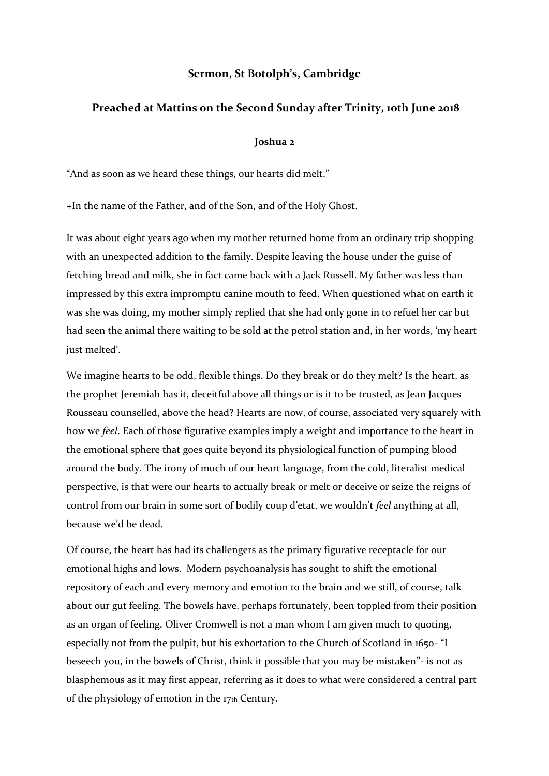## **Sermon, St Botolph's, Cambridge**

## **Preached at Mattins on the Second Sunday after Trinity, 1oth June 2018**

## **Joshua 2**

"And as soon as we heard these things, our hearts did melt."

+In the name of the Father, and of the Son, and of the Holy Ghost.

It was about eight years ago when my mother returned home from an ordinary trip shopping with an unexpected addition to the family. Despite leaving the house under the guise of fetching bread and milk, she in fact came back with a Jack Russell. My father was less than impressed by this extra impromptu canine mouth to feed. When questioned what on earth it was she was doing, my mother simply replied that she had only gone in to refuel her car but had seen the animal there waiting to be sold at the petrol station and, in her words, 'my heart just melted'.

We imagine hearts to be odd, flexible things. Do they break or do they melt? Is the heart, as the prophet Jeremiah has it, deceitful above all things or is it to be trusted, as Jean Jacques Rousseau counselled, above the head? Hearts are now, of course, associated very squarely with how we *feel*. Each of those figurative examples imply a weight and importance to the heart in the emotional sphere that goes quite beyond its physiological function of pumping blood around the body. The irony of much of our heart language, from the cold, literalist medical perspective, is that were our hearts to actually break or melt or deceive or seize the reigns of control from our brain in some sort of bodily coup d'etat, we wouldn't *feel* anything at all, because we'd be dead.

Of course, the heart has had its challengers as the primary figurative receptacle for our emotional highs and lows. Modern psychoanalysis has sought to shift the emotional repository of each and every memory and emotion to the brain and we still, of course, talk about our gut feeling. The bowels have, perhaps fortunately, been toppled from their position as an organ of feeling. Oliver Cromwell is not a man whom I am given much to quoting, especially not from the pulpit, but his exhortation to the Church of Scotland in 1650- "I beseech you, in the bowels of Christ, think it possible that you may be mistaken"- is not as blasphemous as it may first appear, referring as it does to what were considered a central part of the physiology of emotion in the 17th Century.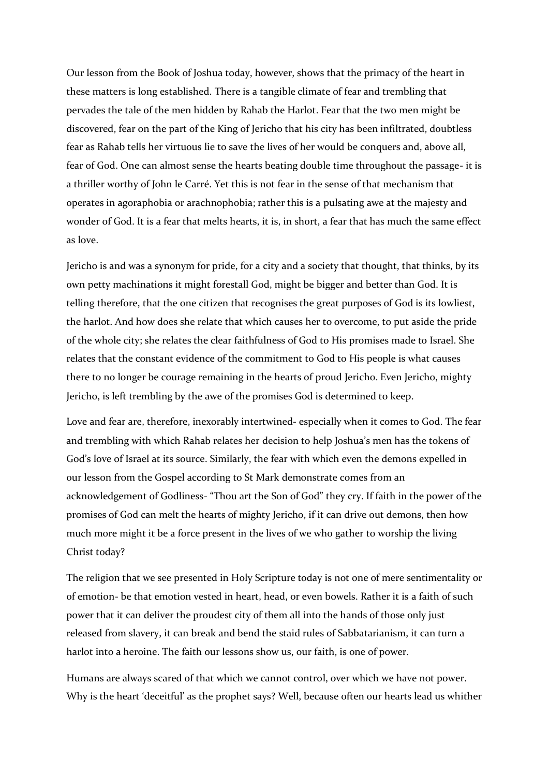Our lesson from the Book of Joshua today, however, shows that the primacy of the heart in these matters is long established. There is a tangible climate of fear and trembling that pervades the tale of the men hidden by Rahab the Harlot. Fear that the two men might be discovered, fear on the part of the King of Jericho that his city has been infiltrated, doubtless fear as Rahab tells her virtuous lie to save the lives of her would be conquers and, above all, fear of God. One can almost sense the hearts beating double time throughout the passage- it is a thriller worthy of John le Carré. Yet this is not fear in the sense of that mechanism that operates in agoraphobia or arachnophobia; rather this is a pulsating awe at the majesty and wonder of God. It is a fear that melts hearts, it is, in short, a fear that has much the same effect as love.

Jericho is and was a synonym for pride, for a city and a society that thought, that thinks, by its own petty machinations it might forestall God, might be bigger and better than God. It is telling therefore, that the one citizen that recognises the great purposes of God is its lowliest, the harlot. And how does she relate that which causes her to overcome, to put aside the pride of the whole city; she relates the clear faithfulness of God to His promises made to Israel. She relates that the constant evidence of the commitment to God to His people is what causes there to no longer be courage remaining in the hearts of proud Jericho. Even Jericho, mighty Jericho, is left trembling by the awe of the promises God is determined to keep.

Love and fear are, therefore, inexorably intertwined- especially when it comes to God. The fear and trembling with which Rahab relates her decision to help Joshua's men has the tokens of God's love of Israel at its source. Similarly, the fear with which even the demons expelled in our lesson from the Gospel according to St Mark demonstrate comes from an acknowledgement of Godliness- "Thou art the Son of God" they cry. If faith in the power of the promises of God can melt the hearts of mighty Jericho, if it can drive out demons, then how much more might it be a force present in the lives of we who gather to worship the living Christ today?

The religion that we see presented in Holy Scripture today is not one of mere sentimentality or of emotion- be that emotion vested in heart, head, or even bowels. Rather it is a faith of such power that it can deliver the proudest city of them all into the hands of those only just released from slavery, it can break and bend the staid rules of Sabbatarianism, it can turn a harlot into a heroine. The faith our lessons show us, our faith, is one of power.

Humans are always scared of that which we cannot control, over which we have not power. Why is the heart 'deceitful' as the prophet says? Well, because often our hearts lead us whither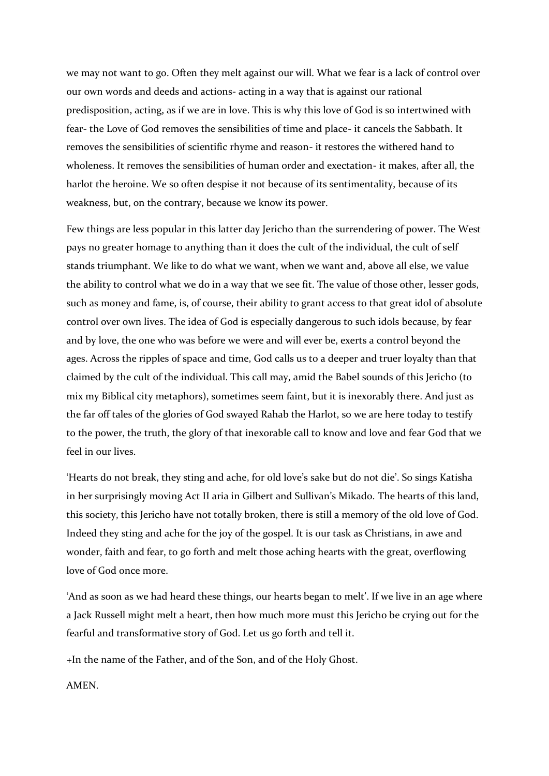we may not want to go. Often they melt against our will. What we fear is a lack of control over our own words and deeds and actions- acting in a way that is against our rational predisposition, acting, as if we are in love. This is why this love of God is so intertwined with fear- the Love of God removes the sensibilities of time and place- it cancels the Sabbath. It removes the sensibilities of scientific rhyme and reason- it restores the withered hand to wholeness. It removes the sensibilities of human order and exectation- it makes, after all, the harlot the heroine. We so often despise it not because of its sentimentality, because of its weakness, but, on the contrary, because we know its power.

Few things are less popular in this latter day Jericho than the surrendering of power. The West pays no greater homage to anything than it does the cult of the individual, the cult of self stands triumphant. We like to do what we want, when we want and, above all else, we value the ability to control what we do in a way that we see fit. The value of those other, lesser gods, such as money and fame, is, of course, their ability to grant access to that great idol of absolute control over own lives. The idea of God is especially dangerous to such idols because, by fear and by love, the one who was before we were and will ever be, exerts a control beyond the ages. Across the ripples of space and time, God calls us to a deeper and truer loyalty than that claimed by the cult of the individual. This call may, amid the Babel sounds of this Jericho (to mix my Biblical city metaphors), sometimes seem faint, but it is inexorably there. And just as the far off tales of the glories of God swayed Rahab the Harlot, so we are here today to testify to the power, the truth, the glory of that inexorable call to know and love and fear God that we feel in our lives.

'Hearts do not break, they sting and ache, for old love's sake but do not die'. So sings Katisha in her surprisingly moving Act II aria in Gilbert and Sullivan's Mikado. The hearts of this land, this society, this Jericho have not totally broken, there is still a memory of the old love of God. Indeed they sting and ache for the joy of the gospel. It is our task as Christians, in awe and wonder, faith and fear, to go forth and melt those aching hearts with the great, overflowing love of God once more.

'And as soon as we had heard these things, our hearts began to melt'. If we live in an age where a Jack Russell might melt a heart, then how much more must this Jericho be crying out for the fearful and transformative story of God. Let us go forth and tell it.

+In the name of the Father, and of the Son, and of the Holy Ghost.

AMEN.